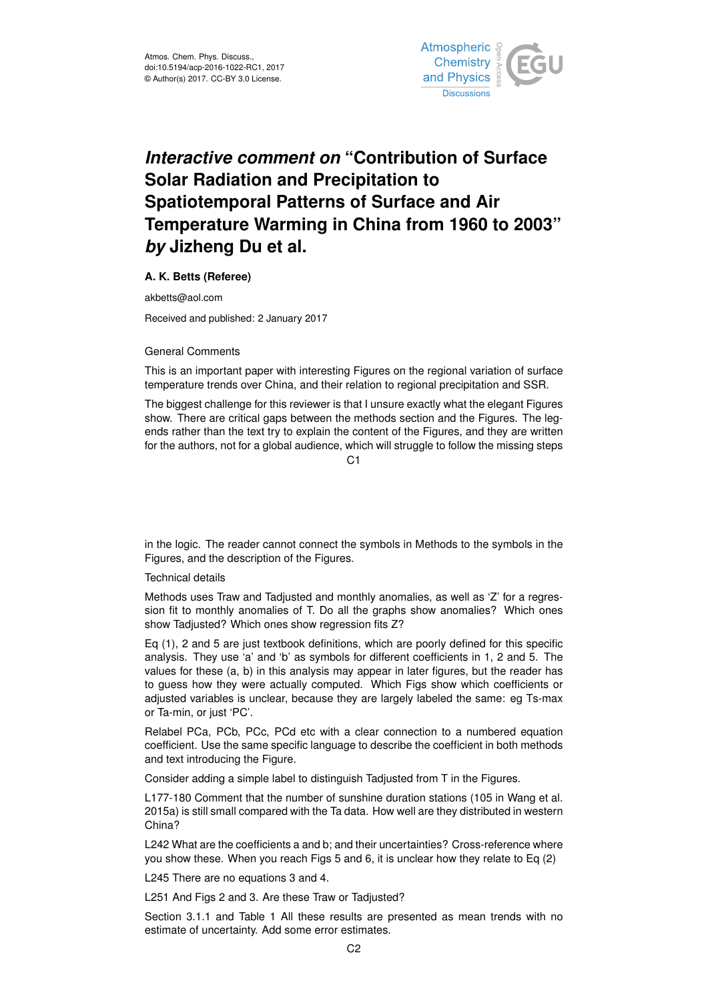

## *Interactive comment on* **"Contribution of Surface Solar Radiation and Precipitation to Spatiotemporal Patterns of Surface and Air Temperature Warming in China from 1960 to 2003"** *by* **Jizheng Du et al.**

**A. K. Betts (Referee)**

akbetts@aol.com

Received and published: 2 January 2017

## General Comments

This is an important paper with interesting Figures on the regional variation of surface temperature trends over China, and their relation to regional precipitation and SSR.

The biggest challenge for this reviewer is that I unsure exactly what the elegant Figures show. There are critical gaps between the methods section and the Figures. The legends rather than the text try to explain the content of the Figures, and they are written for the authors, not for a global audience, which will struggle to follow the missing steps

 $C<sub>1</sub>$ 

in the logic. The reader cannot connect the symbols in Methods to the symbols in the Figures, and the description of the Figures.

## Technical details

Methods uses Traw and Tadjusted and monthly anomalies, as well as 'Z' for a regression fit to monthly anomalies of T. Do all the graphs show anomalies? Which ones show Tadjusted? Which ones show regression fits Z?

Eq (1), 2 and 5 are just textbook definitions, which are poorly defined for this specific analysis. They use 'a' and 'b' as symbols for different coefficients in 1, 2 and 5. The values for these (a, b) in this analysis may appear in later figures, but the reader has to guess how they were actually computed. Which Figs show which coefficients or adjusted variables is unclear, because they are largely labeled the same: eg Ts-max or Ta-min, or just 'PC'.

Relabel PCa, PCb, PCc, PCd etc with a clear connection to a numbered equation coefficient. Use the same specific language to describe the coefficient in both methods and text introducing the Figure.

Consider adding a simple label to distinguish Tadjusted from T in the Figures.

L177-180 Comment that the number of sunshine duration stations (105 in Wang et al. 2015a) is still small compared with the Ta data. How well are they distributed in western China?

L242 What are the coefficients a and b; and their uncertainties? Cross-reference where you show these. When you reach Figs 5 and 6, it is unclear how they relate to Eq (2)

L245 There are no equations 3 and 4.

L251 And Figs 2 and 3. Are these Traw or Tadjusted?

Section 3.1.1 and Table 1 All these results are presented as mean trends with no estimate of uncertainty. Add some error estimates.